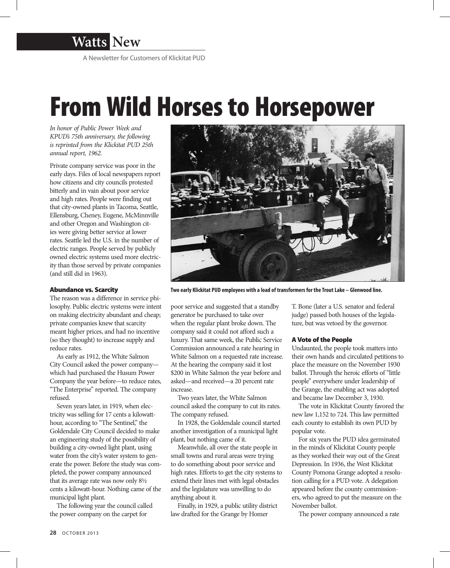

# From Wild Horses to Horsepower

*In honor of Public Power Week and KPUD's 75th anniversary, the following is reprinted from the Klickitat PUD 25th annual report, 1962.*

Private company service was poor in the early days. Files of local newspapers report how citizens and city councils protested bitterly and in vain about poor service and high rates. People were finding out that city-owned plants in Tacoma, Seattle, Ellensburg, Cheney, Eugene, McMinnville and other Oregon and Washington cities were giving better service at lower rates. Seattle led the U.S. in the number of electric ranges. People served by publicly owned electric systems used more electricity than those served by private companies (and still did in 1963).

# Abundance vs. Scarcity

The reason was a difference in service philosophy. Public electric systems were intent on making electricity abundant and cheap; private companies knew that scarcity meant higher prices, and had no incentive (so they thought) to increase supply and reduce rates.

As early as 1912, the White Salmon City Council asked the power company which had purchased the Husum Power Company the year before—to reduce rates, "The Enterprise" reported. The company refused.

Seven years later, in 1919, when electricity was selling for 17 cents a kilowatthour, according to "The Sentinel," the Goldendale City Council decided to make an engineering study of the possibility of building a city-owned light plant, using water from the city's water system to generate the power. Before the study was completed, the power company announced that its average rate was now only 8½ cents a kilowatt-hour. Nothing came of the municipal light plant.

The following year the council called the power company on the carpet for



**Two early Klickitat PUD employees with a load of transformers for the Trout Lake – Glenwood line.**

poor service and suggested that a standby generator be purchased to take over when the regular plant broke down. The company said it could not afford such a luxury. That same week, the Public Service Commission announced a rate hearing in White Salmon on a requested rate increase. At the hearing the company said it lost \$200 in White Salmon the year before and asked—and received—a 20 percent rate increase.

Two years later, the White Salmon council asked the company to cut its rates. The company refused.

In 1928, the Goldendale council started another investigation of a municipal light plant, but nothing came of it.

Meanwhile, all over the state people in small towns and rural areas were trying to do something about poor service and high rates. Efforts to get the city systems to extend their lines met with legal obstacles and the legislature was unwilling to do anything about it.

Finally, in 1929, a public utility district law drafted for the Grange by Homer

T. Bone (later a U.S. senator and federal judge) passed both houses of the legislature, but was vetoed by the governor.

### A Vote of the People

Undaunted, the people took matters into their own hands and circulated petitions to place the measure on the November 1930 ballot. Through the heroic efforts of "little people" everywhere under leadership of the Grange, the enabling act was adopted and became law December 3, 1930.

The vote in Klickitat County favored the new law 1,152 to 724. This law permitted each county to establish its own PUD by popular vote.

For six years the PUD idea germinated in the minds of Klickitat County people as they worked their way out of the Great Depression. In 1936, the West Klickitat County Pomona Grange adopted a resolution calling for a PUD vote. A delegation appeared before the county commissioners, who agreed to put the measure on the November ballot.

The power company announced a rate